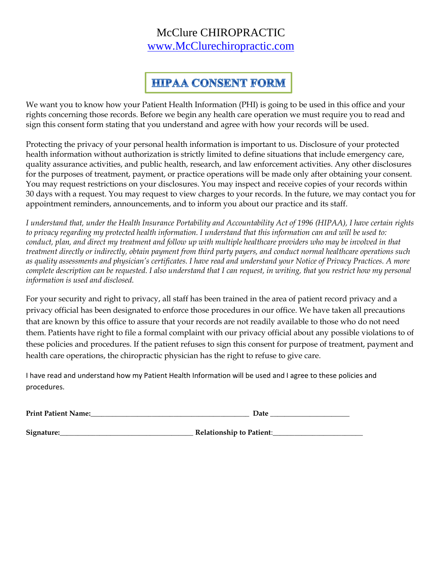#### McClure CHIROPRACTIC [www.McClurechiropractic.com](http://www.mcclurechiropractic.com/)

## **HIPAA CONSENT FORM**

We want you to know how your Patient Health Information (PHI) is going to be used in this office and your rights concerning those records. Before we begin any health care operation we must require you to read and sign this consent form stating that you understand and agree with how your records will be used.

Protecting the privacy of your personal health information is important to us. Disclosure of your protected health information without authorization is strictly limited to define situations that include emergency care, quality assurance activities, and public health, research, and law enforcement activities. Any other disclosures for the purposes of treatment, payment, or practice operations will be made only after obtaining your consent. You may request restrictions on your disclosures. You may inspect and receive copies of your records within 30 days with a request. You may request to view charges to your records. In the future, we may contact you for appointment reminders, announcements, and to inform you about our practice and its staff.

*I understand that, under the Health Insurance Portability and Accountability Act of 1996 (HIPAA), I have certain rights to privacy regarding my protected health information. I understand that this information can and will be used to:*  conduct, plan, and direct my treatment and follow up with multiple healthcare providers who may be involved in that *treatment directly or indirectly, obtain payment from third party payers, and conduct normal healthcare operations such as quality assessments and physician's certificates. I have read and understand your Notice of Privacy Practices. A more complete description can be requested. I also understand that I can request, in writing, that you restrict how my personal information is used and disclosed.*

For your security and right to privacy, all staff has been trained in the area of patient record privacy and a privacy official has been designated to enforce those procedures in our office. We have taken all precautions that are known by this office to assure that your records are not readily available to those who do not need them. Patients have right to file a formal complaint with our privacy official about any possible violations to of these policies and procedures. If the patient refuses to sign this consent for purpose of treatment, payment and health care operations, the chiropractic physician has the right to refuse to give care.

I have read and understand how my Patient Health Information will be used and I agree to these policies and procedures.

| <b>Print Patient Name:</b> | Date                            |
|----------------------------|---------------------------------|
| Signature:                 | <b>Relationship to Patient:</b> |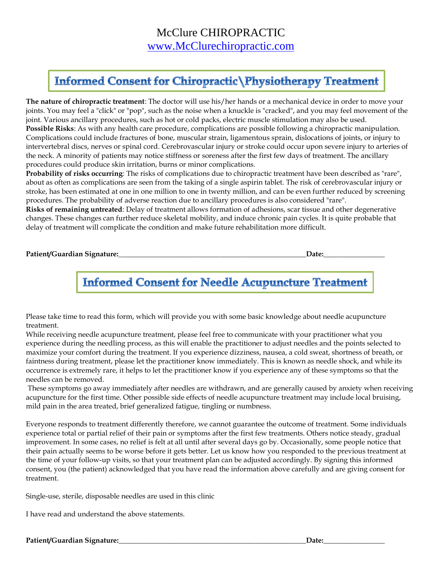# **Informed Consent for Chiropractic \Physiotherapy Treatment**

**The nature of chiropractic treatment**: The doctor will use his/her hands or a mechanical device in order to move your joints. You may feel a "click" or "pop", such as the noise when a knuckle is "cracked", and you may feel movement of the joint. Various ancillary procedures, such as hot or cold packs, electric muscle stimulation may also be used. **Possible Risks**: As with any health care procedure, complications are possible following a chiropractic manipulation. Complications could include fractures of bone, muscular strain, ligamentous sprain, dislocations of joints, or injury to intervertebral discs, nerves or spinal cord. Cerebrovascular injury or stroke could occur upon severe injury to arteries of the neck. A minority of patients may notice stiffness or soreness after the first few days of treatment. The ancillary procedures could produce skin irritation, burns or minor complications.

**Probability of risks occurring**: The risks of complications due to chiropractic treatment have been described as "rare", about as often as complications are seen from the taking of a single aspirin tablet. The risk of cerebrovascular injury or stroke, has been estimated at one in one million to one in twenty million, and can be even further reduced by screening procedures. The probability of adverse reaction due to ancillary procedures is also considered "rare".

**Risks of remaining untreated**: Delay of treatment allows formation of adhesions, scar tissue and other degenerative changes. These changes can further reduce skeletal mobility, and induce chronic pain cycles. It is quite probable that delay of treatment will complicate the condition and make future rehabilitation more difficult.

**Patient/Guardian Signature:\_\_\_\_\_\_\_\_\_\_\_\_\_\_\_\_\_\_\_\_\_\_\_\_\_\_\_\_\_\_\_\_\_\_\_\_\_\_\_\_\_\_\_\_\_\_\_\_\_\_\_\_Date:\_\_\_\_\_\_\_\_\_\_\_\_\_\_\_\_\_**

## **Informed Consent for Needle Acupuncture Treatment**

Please take time to read this form, which will provide you with some basic knowledge about needle acupuncture treatment.

While receiving needle acupuncture treatment, please feel free to communicate with your practitioner what you experience during the needling process, as this will enable the practitioner to adjust needles and the points selected to maximize your comfort during the treatment. If you experience dizziness, nausea, a cold sweat, shortness of breath, or faintness during treatment, please let the practitioner know immediately. This is known as needle shock, and while its occurrence is extremely rare, it helps to let the practitioner know if you experience any of these symptoms so that the needles can be removed.

These symptoms go away immediately after needles are withdrawn, and are generally caused by anxiety when receiving acupuncture for the first time. Other possible side effects of needle acupuncture treatment may include local bruising, mild pain in the area treated, brief generalized fatigue, tingling or numbness.

Everyone responds to treatment differently therefore, we cannot guarantee the outcome of treatment. Some individuals experience total or partial relief of their pain or symptoms after the first few treatments. Others notice steady, gradual improvement. In some cases, no relief is felt at all until after several days go by. Occasionally, some people notice that their pain actually seems to be worse before it gets better. Let us know how you responded to the previous treatment at the time of your follow-up visits, so that your treatment plan can be adjusted accordingly. By signing this informed consent, you (the patient) acknowledged that you have read the information above carefully and are giving consent for treatment.

Single-use, sterile, disposable needles are used in this clinic

I have read and understand the above statements.